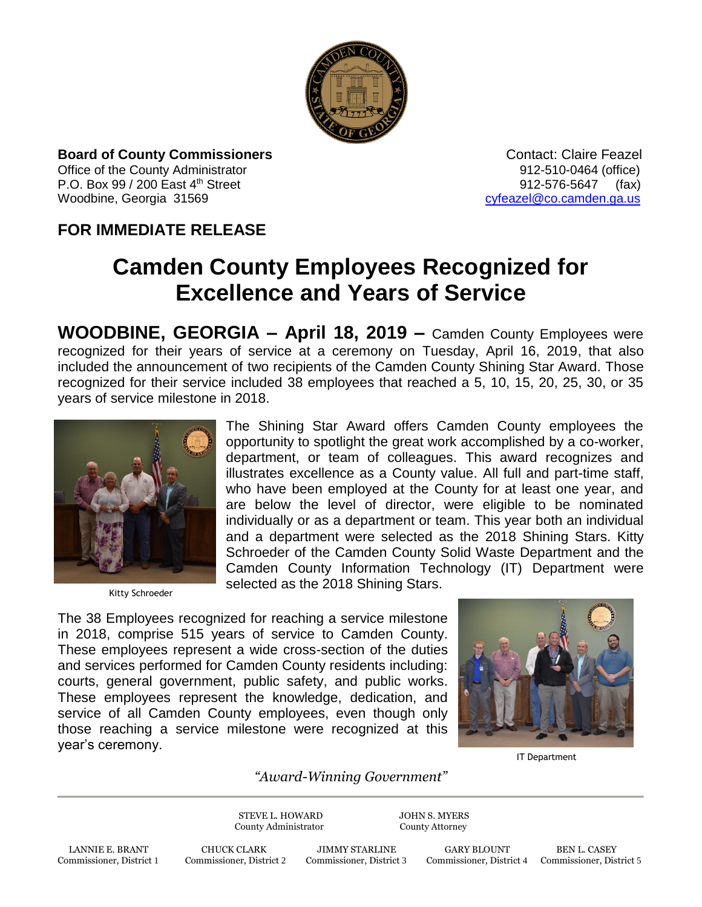

**Board of County Commissioners** *CONTER SOME CONTACT: Claire Feazel* Office of the County Administrator 61 and 2012-510-0464 (office) P.O. Box 99 / 200 East 4<sup>th</sup> Street 912-576-5647 (fax) Woodbine, Georgia 31569 [cyfeazel@co.camden.ga.us](mailto:cyfeazel@co.camden.ga.us)

## **FOR IMMEDIATE RELEASE**

## **Camden County Employees Recognized for Excellence and Years of Service**

**WOODBINE, GEORGIA – April 18, 2019 –** Camden County Employees were recognized for their years of service at a ceremony on Tuesday, April 16, 2019, that also included the announcement of two recipients of the Camden County Shining Star Award. Those recognized for their service included 38 employees that reached a 5, 10, 15, 20, 25, 30, or 35 years of service milestone in 2018.



Kitty Schroeder

The Shining Star Award offers Camden County employees the opportunity to spotlight the great work accomplished by a co-worker, department, or team of colleagues. This award recognizes and illustrates excellence as a County value. All full and part-time staff, who have been employed at the County for at least one year, and are below the level of director, were eligible to be nominated individually or as a department or team. This year both an individual and a department were selected as the 2018 Shining Stars. Kitty Schroeder of the Camden County Solid Waste Department and the Camden County Information Technology (IT) Department were selected as the 2018 Shining Stars.

The 38 Employees recognized for reaching a service milestone in 2018, comprise 515 years of service to Camden County. These employees represent a wide cross-section of the duties and services performed for Camden County residents including: courts, general government, public safety, and public works. These employees represent the knowledge, dedication, and service of all Camden County employees, even though only those reaching a service milestone were recognized at this year's ceremony.



IT Department

## *"Award-Winning Government"*

STEVE L. HOWARD JOHN S. MYERS County Administrator County Attorney

LANNIE E. BRANT CHUCK CLARK JIMMY STARLINE GARY BLOUNT BEN L. CASEY Commissioner, District 1 Commissioner, District 2 Commissioner, District 3 Commissioner, District 4 Commissioner, District 1

Commissioner, District 4 Commissioner, District 5